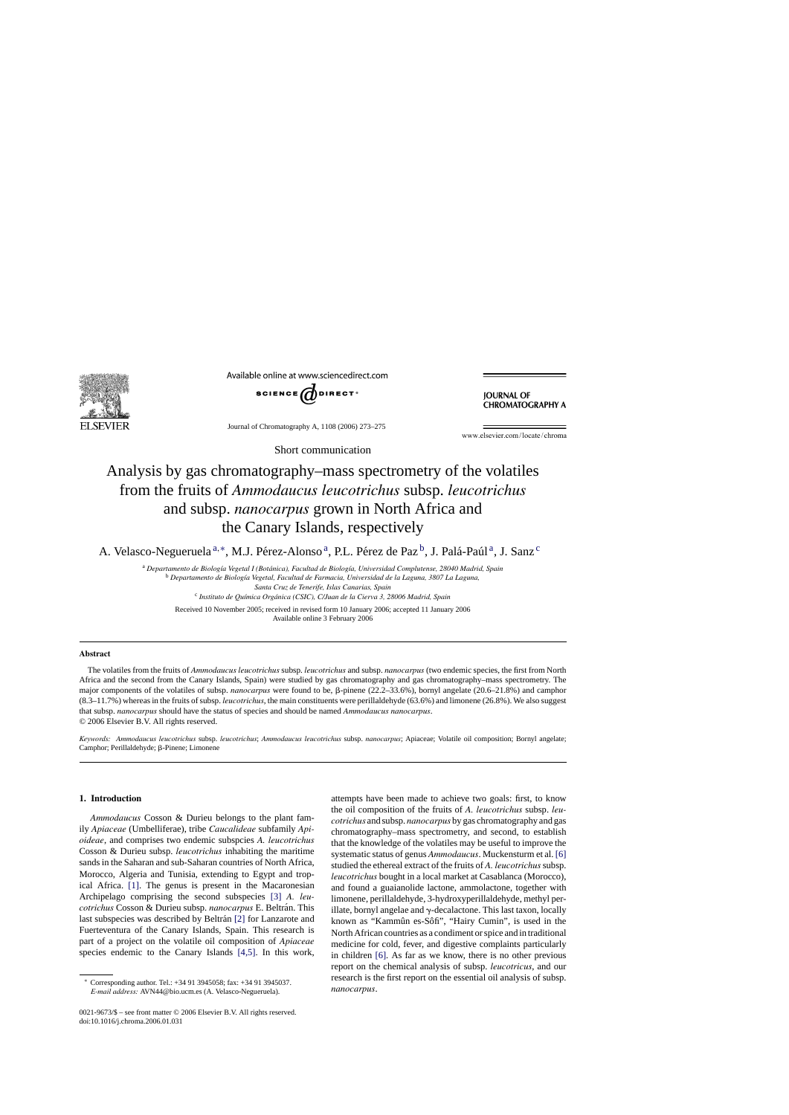

Available online at www.sciencedirect.com



**JOURNAL OF CHROMATOGRAPHY A** 

Journal of Chromatography A, 1108 (2006) 273–275

www.elsevier.com/locate/chroma

# Analysis by gas chromatography–mass spectrometry of the volatiles from the fruits of *Ammodaucus leucotrichus* subsp. *leucotrichus* and subsp. *nanocarpus* grown in North Africa and the Canary Islands, respectively

Short communication

A. Velasco-Negueruela<sup>a,\*</sup>, M.J. Pérez-Alonso<sup>a</sup>, P.L. Pérez de Paz<sup>b</sup>, J. Palá-Paúl<sup>a</sup>, J. Sanz<sup>c</sup>

<sup>a</sup> Departamento de Biología Vegetal I (Botánica), Facultad de Biología, Universidad Complutense, 28040 Madrid, Spain <sup>b</sup> *Departamento de Biolog´ıa Vegetal, Facultad de Farmacia, Universidad de la Laguna, 3807 La Laguna, Santa Cruz de Tenerife, Islas Canarias, Spain*

<sup>c</sup> *Instituto de Qu´ımica Org ´anica (CSIC), C/Juan de la Cierva 3, 28006 Madrid, Spain*

Received 10 November 2005; received in revised form 10 January 2006; accepted 11 January 2006 Available online 3 February 2006

### **Abstract**

The volatiles from the fruits of *Ammodaucus leucotrichus* subsp. *leucotrichus* and subsp. *nanocarpus* (two endemic species, the first from North Africa and the second from the Canary Islands, Spain) were studied by gas chromatography and gas chromatography–mass spectrometry. The major components of the volatiles of subsp. *nanocarpus* were found to be,  $\beta$ -pinene (22.2–33.6%), bornyl angelate (20.6–21.8%) and camphor (8.3–11.7%) whereas in the fruits of subsp. *leucotrichus*, the main constituents were perillaldehyde (63.6%) and limonene (26.8%). We also suggest that subsp. *nanocarpus* should have the status of species and should be named *Ammodaucus nanocarpus*. © 2006 Elsevier B.V. All rights reserved.

*Keywords: Ammodaucus leucotrichus* subsp. *leucotrichus*; *Ammodaucus leucotrichus* subsp. *nanocarpus*; Apiaceae; Volatile oil composition; Bornyl angelate; Camphor; Perillaldehyde;  $\beta$ -Pinene; Limonene

## **1. Introduction**

*Ammodaucus* Cosson & Durieu belongs to the plant family *Apiaceae* (Umbelliferae), tribe *Caucalideae* subfamily *Apioideae*, and comprises two endemic subspcies *A. leucotrichus* Cosson & Durieu subsp. *leucotrichus* inhabiting the maritime sands in the Saharan and sub-Saharan countries of North Africa, Morocco, Algeria and Tunisia, extending to Egypt and tropical Africa. [\[1\].](#page-2-0) The genus is present in the Macaronesian Archipelago comprising the second subspecies [\[3\]](#page-2-0) *A. leucotrichus* Cosson & Durieu subsp. *nanocarpus* E. Beltrán. This last subspecies was described by Beltrán [\[2\]](#page-2-0) for Lanzarote and Fuerteventura of the Canary Islands, Spain. This research is part of a project on the volatile oil composition of *Apiaceae* species endemic to the Canary Islands [\[4,5\].](#page-2-0) In this work,

0021-9673/\$ – see front matter © 2006 Elsevier B.V. All rights reserved. doi:10.1016/j.chroma.2006.01.031

attempts have been made to achieve two goals: first, to know the oil composition of the fruits of *A. leucotrichus* subsp. *leucotrichus* and subsp. *nanocarpus* by gas chromatography and gas chromatography–mass spectrometry, and second, to establish that the knowledge of the volatiles may be useful to improve the systematic status of genus *Ammodaucus*. Muckensturm et al. [\[6\]](#page-2-0) studied the ethereal extract of the fruits of *A. leucotrichus* subsp. *leucotrichus* bought in a local market at Casablanca (Morocco), and found a guaianolide lactone, ammolactone, together with limonene, perillaldehyde, 3-hydroxyperillaldehyde, methyl perillate, bornyl angelae and  $\gamma$ -decalactone. This last taxon, locally known as "Kammûn es-Sôfi", "Hairy Cumin", is used in the North African countries as a condiment or spice and in traditional medicine for cold, fever, and digestive complaints particularly in children [\[6\].](#page-2-0) As far as we know, there is no other previous report on the chemical analysis of subsp. *leucotricus*, and our research is the first report on the essential oil analysis of subsp. *nanocarpus*.

<sup>∗</sup> Corresponding author. Tel.: +34 91 3945058; fax: +34 91 3945037. *E-mail address:* AVN44@bio.ucm.es (A. Velasco-Negueruela).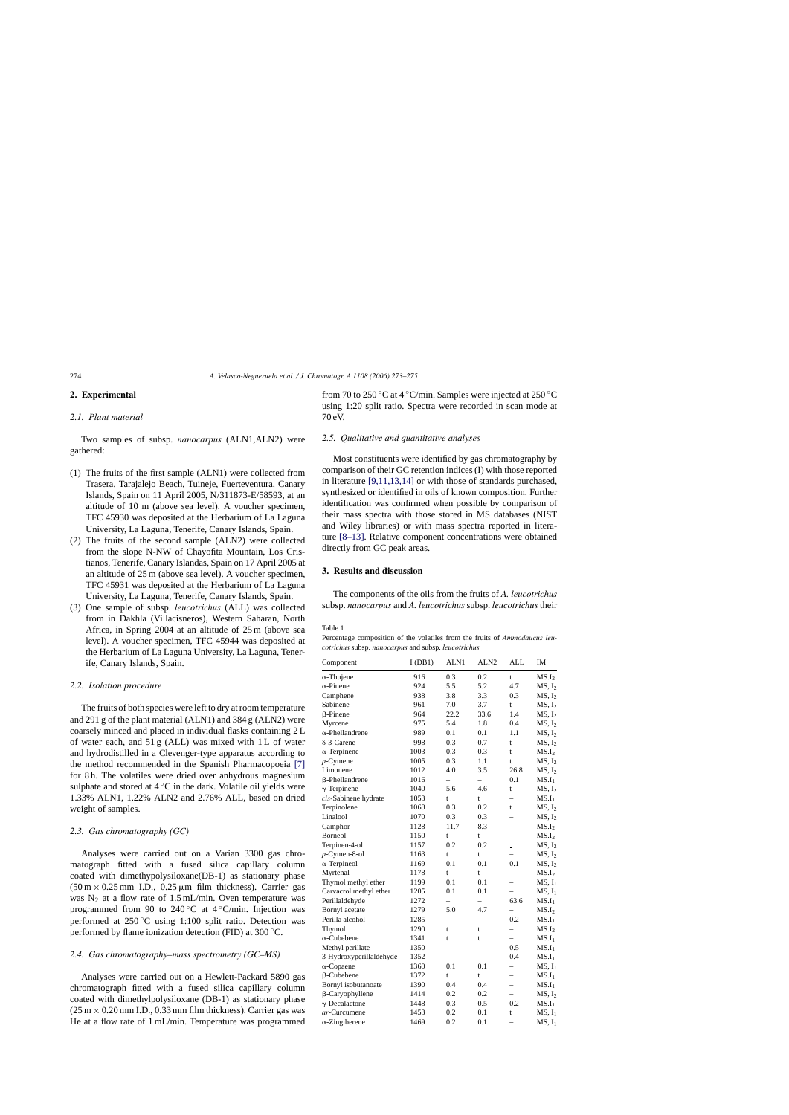## <span id="page-1-0"></span>**2. Experimental**

# *2.1. Plant material*

Two samples of subsp. *nanocarpus* (ALN1,ALN2) were gathered:

- (1) The fruits of the first sample (ALN1) were collected from Trasera, Tarajalejo Beach, Tuineje, Fuerteventura, Canary Islands, Spain on 11 April 2005, N/311873-E/58593, at an altitude of 10 m (above sea level). A voucher specimen, TFC 45930 was deposited at the Herbarium of La Laguna University, La Laguna, Tenerife, Canary Islands, Spain.
- (2) The fruits of the second sample (ALN2) were collected from the slope N-NW of Chayofita Mountain, Los Cristianos, Tenerife, Canary Islandas, Spain on 17 April 2005 at an altitude of 25 m (above sea level). A voucher specimen, TFC 45931 was deposited at the Herbarium of La Laguna University, La Laguna, Tenerife, Canary Islands, Spain.
- (3) One sample of subsp. *leucotrichus* (ALL) was collected from in Dakhla (Villacisneros), Western Saharan, North Africa, in Spring 2004 at an altitude of 25 m (above sea level). A voucher specimen, TFC 45944 was deposited at the Herbarium of La Laguna University, La Laguna, Tenerife, Canary Islands, Spain.

### *2.2. Isolation procedure*

The fruits of both species were left to dry at room temperature and 291 g of the plant material (ALN1) and 384 g (ALN2) were coarsely minced and placed in individual flasks containing 2 L of water each, and 51 g (ALL) was mixed with 1 L of water and hydrodistilled in a Clevenger-type apparatus according to the method recommended in the Spanish Pharmacopoeia [\[7\]](#page-2-0) for 8 h. The volatiles were dried over anhydrous magnesium sulphate and stored at  $4^\circ$ C in the dark. Volatile oil yields were 1.33% ALN1, 1.22% ALN2 and 2.76% ALL, based on dried weight of samples.

## *2.3. Gas chromatography (GC)*

Analyses were carried out on a Varian 3300 gas chromatograph fitted with a fused silica capillary column coated with dimethypolysiloxane(DB-1) as stationary phase  $(50 \text{ m} \times 0.25 \text{ mm }$  I.D., 0.25  $\mu$ m film thickness). Carrier gas was  $N_2$  at a flow rate of 1.5 mL/min. Oven temperature was programmed from 90 to 240 $\degree$ C at 4 $\degree$ C/min. Injection was performed at  $250\degree C$  using 1:100 split ratio. Detection was performed by flame ionization detection (FID) at 300 ◦C.

#### *2.4. Gas chromatography–mass spectrometry (GC–MS)*

Analyses were carried out on a Hewlett-Packard 5890 gas chromatograph fitted with a fused silica capillary column coated with dimethylpolysiloxane (DB-1) as stationary phase  $(25 \text{ m} \times 0.20 \text{ mm }$  I.D., 0.33 mm film thickness). Carrier gas was He at a flow rate of 1 mL/min. Temperature was programmed

from 70 to 250 °C at 4 °C/min. Samples were injected at 250 °C using 1:20 split ratio. Spectra were recorded in scan mode at 70 eV.

### *2.5. Qualitative and quantitative analyses*

Most constituents were identified by gas chromatography by comparison of their GC retention indices (I) with those reported in literature [\[9,11,13,14\]](#page-2-0) or with those of standards purchased, synthesized or identified in oils of known composition. Further identification was confirmed when possible by comparison of their mass spectra with those stored in MS databases (NIST and Wiley libraries) or with mass spectra reported in literature [\[8–13\].](#page-2-0) Relative component concentrations were obtained directly from GC peak areas.

## **3. Results and discussion**

The components of the oils from the fruits of *A. leucotrichus* subsp. *nanocarpus* and *A. leucotrichus* subsp. *leucotrichus* their

### Table 1

Percentage composition of the volatiles from the fruits of *Ammodaucus leucotrichus* subsp. *nanocarpus* and subsp. *leucotrichus*

| Component               | I(DB1) | ALN1                     | ALN <sub>2</sub>         | <b>ALL</b>               | IM                 |
|-------------------------|--------|--------------------------|--------------------------|--------------------------|--------------------|
| $\alpha$ -Thujene       | 916    | 0.3                      | 0.2                      | t                        | MS.I <sub>2</sub>  |
| $\alpha$ -Pinene        | 924    | 5.5                      | 5.2                      | 4.7                      | MS, I <sub>2</sub> |
| Camphene                | 938    | 3.8                      | 3.3                      | 0.3                      | MS, I <sub>2</sub> |
| Sabinene                | 961    | 7.0                      | 3.7                      | t                        | MS, I <sub>2</sub> |
| β-Pinene                | 964    | 22.2                     | 33.6                     | 1.4                      | MS, I <sub>2</sub> |
| Myrcene                 | 975    | 5.4                      | 1.8                      | 0.4                      | MS, I <sub>2</sub> |
| $\alpha$ -Phellandrene  | 989    | 0.1                      | 0.1                      | 1.1                      | MS, I <sub>2</sub> |
| δ-3-Carene              | 998    | 0.3                      | 0.7                      | t                        | MS, I <sub>2</sub> |
| $\alpha$ -Terpinene     | 1003   | 0.3                      | 0.3                      | t                        | MS.I <sub>2</sub>  |
| $p$ -Cymene             | 1005   | 0.3                      | 1.1                      | t                        | MS, I <sub>2</sub> |
| Limonene                | 1012   | 4.0                      | 3.5                      | 26.8                     | MS, I <sub>2</sub> |
| β-Phellandrene          | 1016   | $\overline{\phantom{0}}$ | $\overline{\phantom{0}}$ | 0.1                      | $MS.I_1$           |
| $\gamma$ -Terpinene     | 1040   | 5.6                      | 4.6                      | t                        | MS, I <sub>2</sub> |
| cis-Sabinene hydrate    | 1053   | t                        | t                        | $\overline{\phantom{0}}$ | $MS.I_1$           |
| Terpinolene             | 1068   | 0.3                      | 0.2                      | t                        | MS, I <sub>2</sub> |
| Linalool                | 1070   | 0.3                      | 0.3                      | $\overline{\phantom{0}}$ | MS, I <sub>2</sub> |
| Camphor                 | 1128   | 11.7                     | 8.3                      | -                        | MS.I <sub>2</sub>  |
| Borneol                 | 1150   | $\mathbf t$              | t                        |                          | MS.I <sub>2</sub>  |
| Terpinen-4-ol           | 1157   | 0.2                      | 0.2                      | $\overline{a}$           | MS, I <sub>2</sub> |
| p-Cymen-8-ol            | 1163   | t                        | t                        | $\overline{\phantom{0}}$ | MS, I <sub>2</sub> |
| $\alpha$ -Terpineol     | 1169   | 0.1                      | 0.1                      | 0.1                      | MS, I <sub>2</sub> |
| Myrtenal                | 1178   | $\mathbf t$              | t                        | $\overline{\phantom{0}}$ | MS.I <sub>2</sub>  |
| Thymol methyl ether     | 1199   | 0.1                      | 0.1                      | $\overline{\phantom{0}}$ | MS, I <sub>1</sub> |
| Carvacrol methyl ether  | 1205   | 0.1                      | 0.1                      |                          | MS, I <sub>1</sub> |
| Perillaldehyde          | 1272   | $\overline{a}$           | $\overline{a}$           | 63.6                     | $MS.I_1$           |
| Bornyl acetate          | 1279   | 5.0                      | 4.7                      |                          | MS.I <sub>2</sub>  |
| Perilla alcohol         | 1285   |                          |                          | 0.2                      | $MS.I_1$           |
| Thymol                  | 1290   | t                        | t                        |                          | MS.I <sub>2</sub>  |
| $\alpha$ -Cubebene      | 1341   | t                        | t                        | $\overline{a}$           | MS.I <sub>1</sub>  |
| Methyl perillate        | 1350   | $\overline{\phantom{0}}$ | $\overline{\phantom{0}}$ | 0.5                      | $MS.I_1$           |
| 3-Hydroxyperillaldehyde | 1352   | $\overline{\phantom{0}}$ |                          | 0.4                      | $MS.I_1$           |
| $\alpha$ -Copaene       | 1360   | 0.1                      | 0.1                      | $\overline{a}$           | MS, I <sub>1</sub> |
| β-Cubebene              | 1372   | t                        | t                        | -                        | $MS.I_1$           |
| Bornyl isobutanoate     | 1390   | 0.4                      | 0.4                      | $\overline{\phantom{0}}$ | $\rm MS.I_1$       |
| β-Caryophyllene         | 1414   | 0.2                      | 0.2                      | $\overline{\phantom{0}}$ | MS, I <sub>2</sub> |
| $\gamma$ -Decalactone   | 1448   | 0.3                      | 0.5                      | 0.2                      | $MS.I_1$           |
| ar-Curcumene            | 1453   | 0.2                      | 0.1                      | t                        | MS, I <sub>1</sub> |
| $\alpha$ -Zingiberene   | 1469   | 0.2                      | 0.1                      |                          | MS, I <sub>1</sub> |
|                         |        |                          |                          |                          |                    |